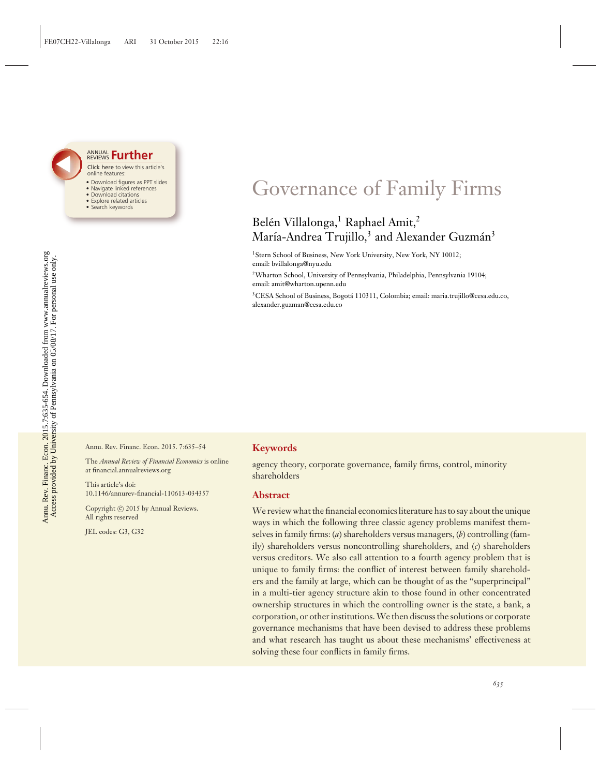#### Click here to view this article's online features: ANNUAL REVIEWS **[Further](http://www.annualreviews.org/doi/full/10.1146/annurev-financial-110613-034357)**

- Download figures as PPT slides
- Navigate linked references
- Download citations
- Explore related articles
- Search keywords

## Governance of Family Firms

### Belén Villalonga,<sup>1</sup> Raphael Amit,<sup>2</sup> María-Andrea Trujillo,<sup>3</sup> and Alexander Guzmán<sup>3</sup>

1Stern School of Business, New York University, New York, NY 10012; email: bvillalonga@nyu.edu

2Wharton School, University of Pennsylvania, Philadelphia, Pennsylvania 19104; email: amit@wharton.upenn.edu

<sup>3</sup>CESA School of Business, Bogotá 110311, Colombia; email: maria.trujillo@cesa.edu.co, alexander.guzman@cesa.edu.co

Annu. Rev. Financ. Econ. 2015. 7:635–54

The *Annual Review of Financial Economics* is online at financial.annualreviews.org

This article's doi: 10.1146/annurev-financial-110613-034357

Copyright © 2015 by Annual Reviews. All rights reserved

JEL codes: G3, G32

#### **Keywords**

agency theory, corporate governance, family firms, control, minority shareholders

#### **Abstract**

We review what the financial economics literature has to say about the unique ways in which the following three classic agency problems manifest themselves in family firms: (*a*) shareholders versus managers, (*b*) controlling (family) shareholders versus noncontrolling shareholders, and (*c*) shareholders versus creditors. We also call attention to a fourth agency problem that is unique to family firms: the conflict of interest between family shareholders and the family at large, which can be thought of as the "superprincipal" in a multi-tier agency structure akin to those found in other concentrated ownership structures in which the controlling owner is the state, a bank, a corporation, or other institutions.We then discuss the solutions or corporate governance mechanisms that have been devised to address these problems and what research has taught us about these mechanisms' effectiveness at solving these four conflicts in family firms.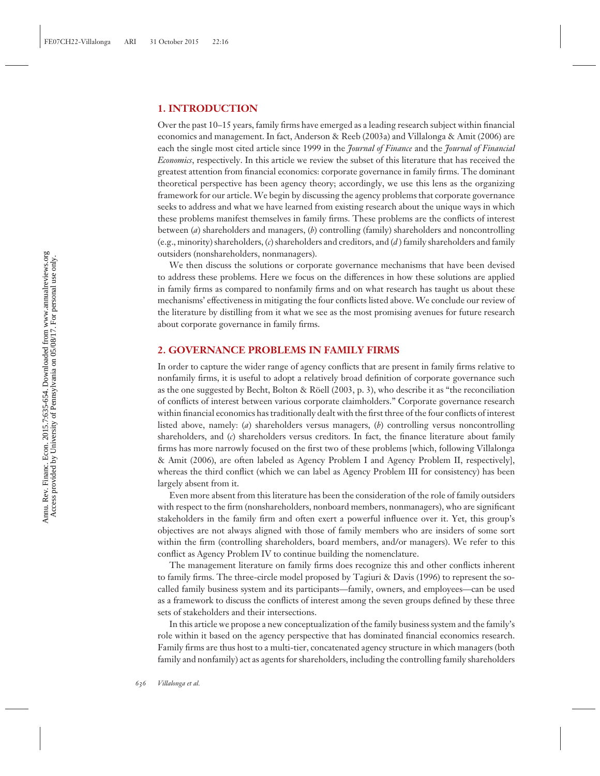#### **1. INTRODUCTION**

Over the past 10–15 years, family firms have emerged as a leading research subject within financial economics and management. In fact, Anderson & Reeb (2003a) and Villalonga & Amit (2006) are each the single most cited article since 1999 in the *Journal of Finance* and the *Journal of Financial Economics*, respectively. In this article we review the subset of this literature that has received the greatest attention from financial economics: corporate governance in family firms. The dominant theoretical perspective has been agency theory; accordingly, we use this lens as the organizing framework for our article. We begin by discussing the agency problems that corporate governance seeks to address and what we have learned from existing research about the unique ways in which these problems manifest themselves in family firms. These problems are the conflicts of interest between (*a*) shareholders and managers, (*b*) controlling (family) shareholders and noncontrolling (e.g., minority) shareholders, (*c*) shareholders and creditors, and (*d* ) family shareholders and family outsiders (nonshareholders, nonmanagers).

We then discuss the solutions or corporate governance mechanisms that have been devised to address these problems. Here we focus on the differences in how these solutions are applied in family firms as compared to nonfamily firms and on what research has taught us about these mechanisms' effectiveness in mitigating the four conflicts listed above. We conclude our review of the literature by distilling from it what we see as the most promising avenues for future research about corporate governance in family firms.

#### **2. GOVERNANCE PROBLEMS IN FAMILY FIRMS**

In order to capture the wider range of agency conflicts that are present in family firms relative to nonfamily firms, it is useful to adopt a relatively broad definition of corporate governance such as the one suggested by Becht, Bolton & Röell (2003, p. 3), who describe it as "the reconciliation of conflicts of interest between various corporate claimholders." Corporate governance research within financial economics has traditionally dealt with the first three of the four conflicts of interest listed above, namely: (*a*) shareholders versus managers, (*b*) controlling versus noncontrolling shareholders, and (*c*) shareholders versus creditors. In fact, the finance literature about family firms has more narrowly focused on the first two of these problems [which, following Villalonga & Amit (2006), are often labeled as Agency Problem I and Agency Problem II, respectively], whereas the third conflict (which we can label as Agency Problem III for consistency) has been largely absent from it.

Even more absent from this literature has been the consideration of the role of family outsiders with respect to the firm (nonshareholders, nonboard members, nonmanagers), who are significant stakeholders in the family firm and often exert a powerful influence over it. Yet, this group's objectives are not always aligned with those of family members who are insiders of some sort within the firm (controlling shareholders, board members, and/or managers). We refer to this conflict as Agency Problem IV to continue building the nomenclature.

The management literature on family firms does recognize this and other conflicts inherent to family firms. The three-circle model proposed by Tagiuri & Davis (1996) to represent the socalled family business system and its participants—family, owners, and employees—can be used as a framework to discuss the conflicts of interest among the seven groups defined by these three sets of stakeholders and their intersections.

In this article we propose a new conceptualization of the family business system and the family's role within it based on the agency perspective that has dominated financial economics research. Family firms are thus host to a multi-tier, concatenated agency structure in which managers (both family and nonfamily) act as agents for shareholders, including the controlling family shareholders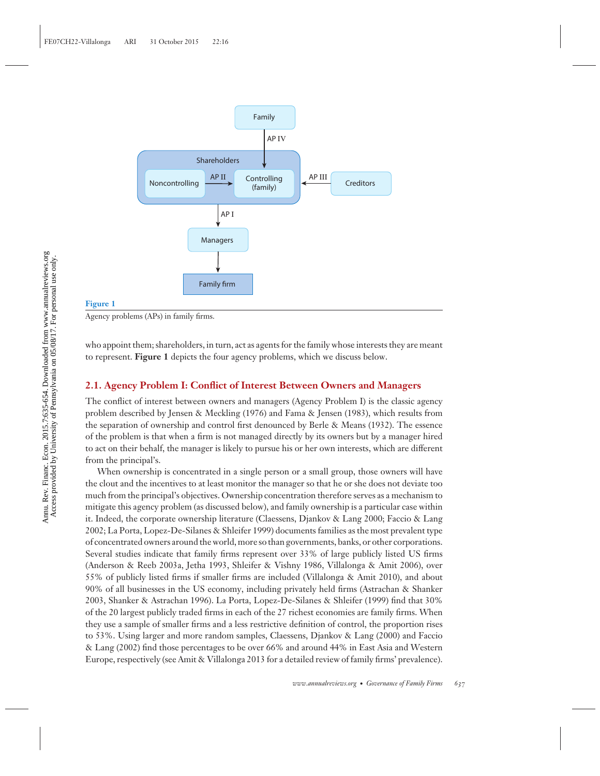

#### **Figure 1**

Agency problems (APs) in family firms.

who appoint them; shareholders, in turn, act as agents for the family whose interests they are meant to represent. **Figure 1** depicts the four agency problems, which we discuss below.

#### **2.1. Agency Problem I: Conflict of Interest Between Owners and Managers**

The conflict of interest between owners and managers (Agency Problem I) is the classic agency problem described by Jensen & Meckling (1976) and Fama & Jensen (1983), which results from the separation of ownership and control first denounced by Berle & Means (1932). The essence of the problem is that when a firm is not managed directly by its owners but by a manager hired to act on their behalf, the manager is likely to pursue his or her own interests, which are different from the principal's.

When ownership is concentrated in a single person or a small group, those owners will have the clout and the incentives to at least monitor the manager so that he or she does not deviate too much from the principal's objectives. Ownership concentration therefore serves as a mechanism to mitigate this agency problem (as discussed below), and family ownership is a particular case within it. Indeed, the corporate ownership literature (Claessens, Djankov & Lang 2000; Faccio & Lang 2002; La Porta, Lopez-De-Silanes & Shleifer 1999) documents families as the most prevalent type of concentrated owners around the world, more so than governments, banks, or other corporations. Several studies indicate that family firms represent over 33% of large publicly listed US firms (Anderson & Reeb 2003a, Jetha 1993, Shleifer & Vishny 1986, Villalonga & Amit 2006), over 55% of publicly listed firms if smaller firms are included (Villalonga & Amit 2010), and about 90% of all businesses in the US economy, including privately held firms (Astrachan & Shanker 2003, Shanker & Astrachan 1996). La Porta, Lopez-De-Silanes & Shleifer (1999) find that 30% of the 20 largest publicly traded firms in each of the 27 richest economies are family firms. When they use a sample of smaller firms and a less restrictive definition of control, the proportion rises to 53%. Using larger and more random samples, Claessens, Djankov & Lang (2000) and Faccio & Lang (2002) find those percentages to be over 66% and around 44% in East Asia and Western Europe, respectively (see Amit & Villalonga 2013 for a detailed review of family firms' prevalence).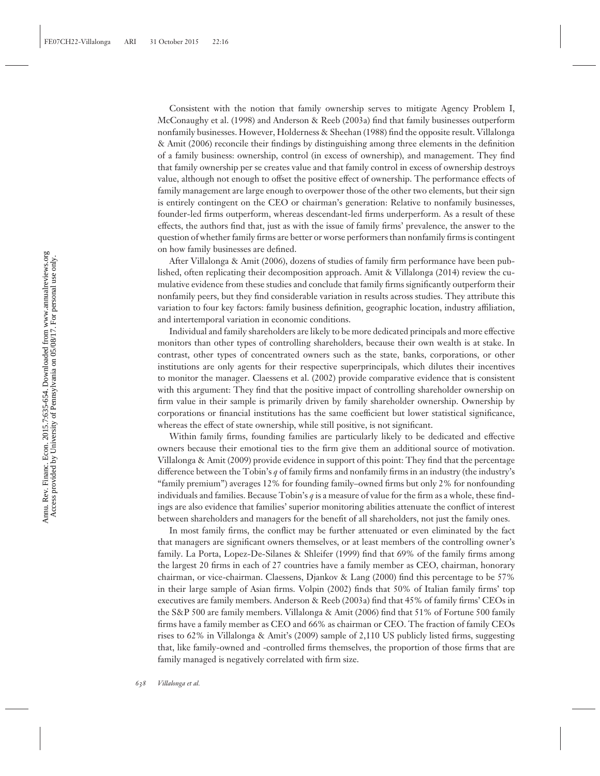Consistent with the notion that family ownership serves to mitigate Agency Problem I, McConaughy et al. (1998) and Anderson & Reeb (2003a) find that family businesses outperform nonfamily businesses. However, Holderness & Sheehan (1988) find the opposite result. Villalonga & Amit (2006) reconcile their findings by distinguishing among three elements in the definition of a family business: ownership, control (in excess of ownership), and management. They find that family ownership per se creates value and that family control in excess of ownership destroys value, although not enough to offset the positive effect of ownership. The performance effects of family management are large enough to overpower those of the other two elements, but their sign is entirely contingent on the CEO or chairman's generation: Relative to nonfamily businesses, founder-led firms outperform, whereas descendant-led firms underperform. As a result of these effects, the authors find that, just as with the issue of family firms' prevalence, the answer to the question of whether family firms are better or worse performers than nonfamily firms is contingent on how family businesses are defined.

After Villalonga & Amit (2006), dozens of studies of family firm performance have been published, often replicating their decomposition approach. Amit & Villalonga (2014) review the cumulative evidence from these studies and conclude that family firms significantly outperform their nonfamily peers, but they find considerable variation in results across studies. They attribute this variation to four key factors: family business definition, geographic location, industry affiliation, and intertemporal variation in economic conditions.

Individual and family shareholders are likely to be more dedicated principals and more effective monitors than other types of controlling shareholders, because their own wealth is at stake. In contrast, other types of concentrated owners such as the state, banks, corporations, or other institutions are only agents for their respective superprincipals, which dilutes their incentives to monitor the manager. Claessens et al. (2002) provide comparative evidence that is consistent with this argument: They find that the positive impact of controlling shareholder ownership on firm value in their sample is primarily driven by family shareholder ownership. Ownership by corporations or financial institutions has the same coefficient but lower statistical significance, whereas the effect of state ownership, while still positive, is not significant.

Within family firms, founding families are particularly likely to be dedicated and effective owners because their emotional ties to the firm give them an additional source of motivation. Villalonga & Amit (2009) provide evidence in support of this point: They find that the percentage difference between the Tobin's *q* of family firms and nonfamily firms in an industry (the industry's "family premium") averages 12% for founding family–owned firms but only 2% for nonfounding individuals and families. Because Tobin's *q* is a measure of value for the firm as a whole, these findings are also evidence that families' superior monitoring abilities attenuate the conflict of interest between shareholders and managers for the benefit of all shareholders, not just the family ones.

In most family firms, the conflict may be further attenuated or even eliminated by the fact that managers are significant owners themselves, or at least members of the controlling owner's family. La Porta, Lopez-De-Silanes & Shleifer (1999) find that 69% of the family firms among the largest 20 firms in each of 27 countries have a family member as CEO, chairman, honorary chairman, or vice-chairman. Claessens, Djankov & Lang (2000) find this percentage to be 57% in their large sample of Asian firms. Volpin (2002) finds that 50% of Italian family firms' top executives are family members. Anderson & Reeb (2003a) find that 45% of family firms' CEOs in the S&P 500 are family members. Villalonga & Amit (2006) find that 51% of Fortune 500 family firms have a family member as CEO and 66% as chairman or CEO. The fraction of family CEOs rises to 62% in Villalonga & Amit's (2009) sample of 2,110 US publicly listed firms, suggesting that, like family-owned and -controlled firms themselves, the proportion of those firms that are family managed is negatively correlated with firm size.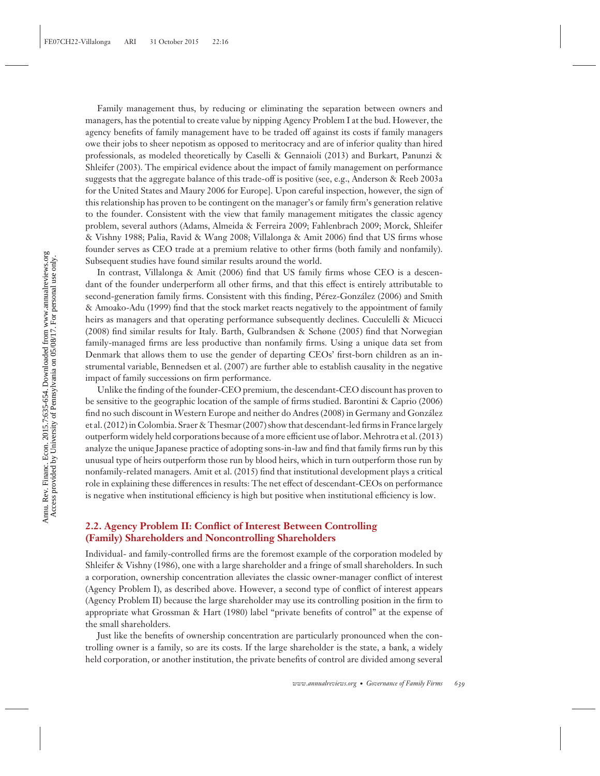Family management thus, by reducing or eliminating the separation between owners and managers, has the potential to create value by nipping Agency Problem I at the bud. However, the agency benefits of family management have to be traded off against its costs if family managers owe their jobs to sheer nepotism as opposed to meritocracy and are of inferior quality than hired professionals, as modeled theoretically by Caselli & Gennaioli (2013) and Burkart, Panunzi & Shleifer (2003). The empirical evidence about the impact of family management on performance suggests that the aggregate balance of this trade-off is positive (see, e.g., Anderson & Reeb 2003a for the United States and Maury 2006 for Europe]. Upon careful inspection, however, the sign of this relationship has proven to be contingent on the manager's or family firm's generation relative to the founder. Consistent with the view that family management mitigates the classic agency problem, several authors (Adams, Almeida & Ferreira 2009; Fahlenbrach 2009; Morck, Shleifer & Vishny 1988; Palia, Ravid & Wang 2008; Villalonga & Amit 2006) find that US firms whose founder serves as CEO trade at a premium relative to other firms (both family and nonfamily). Subsequent studies have found similar results around the world.

In contrast, Villalonga & Amit (2006) find that US family firms whose CEO is a descendant of the founder underperform all other firms, and that this effect is entirely attributable to second-generation family firms. Consistent with this finding, Pérez-González (2006) and Smith & Amoako-Adu (1999) find that the stock market reacts negatively to the appointment of family heirs as managers and that operating performance subsequently declines. Cucculelli & Micucci (2008) find similar results for Italy. Barth, Gulbrandsen & Schøne (2005) find that Norwegian family-managed firms are less productive than nonfamily firms. Using a unique data set from Denmark that allows them to use the gender of departing CEOs' first-born children as an instrumental variable, Bennedsen et al. (2007) are further able to establish causality in the negative impact of family successions on firm performance.

Unlike the finding of the founder-CEO premium, the descendant-CEO discount has proven to be sensitive to the geographic location of the sample of firms studied. Barontini & Caprio (2006) find no such discount in Western Europe and neither do Andres (2008) in Germany and Gonzalez ´ et al. (2012) in Colombia. Sraer & Thesmar (2007) show that descendant-led firms in France largely outperform widely held corporations because of a more efficient use of labor. Mehrotra et al. (2013) analyze the unique Japanese practice of adopting sons-in-law and find that family firms run by this unusual type of heirs outperform those run by blood heirs, which in turn outperform those run by nonfamily-related managers. Amit et al. (2015) find that institutional development plays a critical role in explaining these differences in results: The net effect of descendant-CEOs on performance is negative when institutional efficiency is high but positive when institutional efficiency is low.

#### **2.2. Agency Problem II: Conflict of Interest Between Controlling (Family) Shareholders and Noncontrolling Shareholders**

Individual- and family-controlled firms are the foremost example of the corporation modeled by Shleifer & Vishny (1986), one with a large shareholder and a fringe of small shareholders. In such a corporation, ownership concentration alleviates the classic owner-manager conflict of interest (Agency Problem I), as described above. However, a second type of conflict of interest appears (Agency Problem II) because the large shareholder may use its controlling position in the firm to appropriate what Grossman & Hart (1980) label "private benefits of control" at the expense of the small shareholders.

Just like the benefits of ownership concentration are particularly pronounced when the controlling owner is a family, so are its costs. If the large shareholder is the state, a bank, a widely held corporation, or another institution, the private benefits of control are divided among several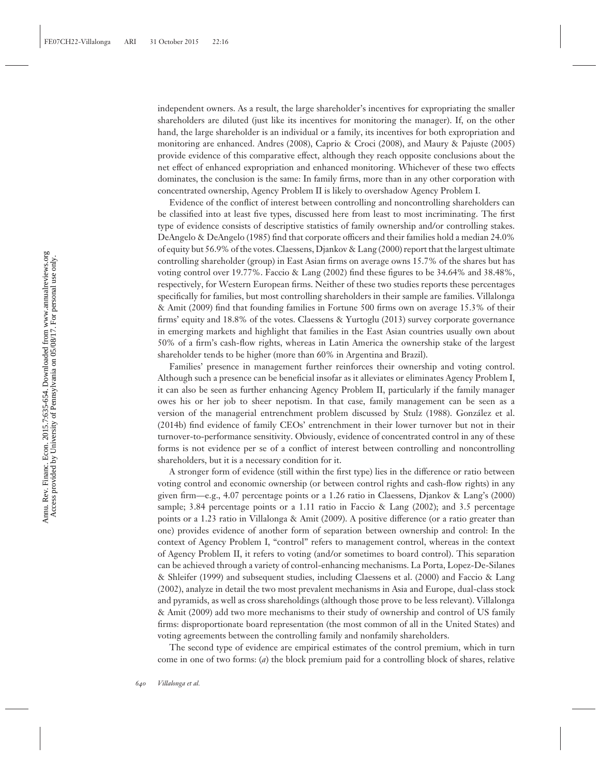independent owners. As a result, the large shareholder's incentives for expropriating the smaller shareholders are diluted (just like its incentives for monitoring the manager). If, on the other hand, the large shareholder is an individual or a family, its incentives for both expropriation and monitoring are enhanced. Andres (2008), Caprio & Croci (2008), and Maury & Pajuste (2005) provide evidence of this comparative effect, although they reach opposite conclusions about the net effect of enhanced expropriation and enhanced monitoring. Whichever of these two effects dominates, the conclusion is the same: In family firms, more than in any other corporation with concentrated ownership, Agency Problem II is likely to overshadow Agency Problem I.

Evidence of the conflict of interest between controlling and noncontrolling shareholders can be classified into at least five types, discussed here from least to most incriminating. The first type of evidence consists of descriptive statistics of family ownership and/or controlling stakes. DeAngelo & DeAngelo (1985) find that corporate officers and their families hold a median 24.0% of equity but 56.9% of the votes. Claessens, Djankov & Lang (2000) report that the largest ultimate controlling shareholder (group) in East Asian firms on average owns 15.7% of the shares but has voting control over 19.77%. Faccio & Lang (2002) find these figures to be 34.64% and 38.48%, respectively, for Western European firms. Neither of these two studies reports these percentages specifically for families, but most controlling shareholders in their sample are families. Villalonga & Amit (2009) find that founding families in Fortune 500 firms own on average 15.3% of their firms' equity and 18.8% of the votes. Claessens & Yurtoglu (2013) survey corporate governance in emerging markets and highlight that families in the East Asian countries usually own about 50% of a firm's cash-flow rights, whereas in Latin America the ownership stake of the largest shareholder tends to be higher (more than 60% in Argentina and Brazil).

Families' presence in management further reinforces their ownership and voting control. Although such a presence can be beneficial insofar as it alleviates or eliminates Agency Problem I, it can also be seen as further enhancing Agency Problem II, particularly if the family manager owes his or her job to sheer nepotism. In that case, family management can be seen as a version of the managerial entrenchment problem discussed by Stulz (1988). Gonzalez et al. ´ (2014b) find evidence of family CEOs' entrenchment in their lower turnover but not in their turnover-to-performance sensitivity. Obviously, evidence of concentrated control in any of these forms is not evidence per se of a conflict of interest between controlling and noncontrolling shareholders, but it is a necessary condition for it.

A stronger form of evidence (still within the first type) lies in the difference or ratio between voting control and economic ownership (or between control rights and cash-flow rights) in any given firm—e.g., 4.07 percentage points or a 1.26 ratio in Claessens, Djankov & Lang's (2000) sample; 3.84 percentage points or a 1.11 ratio in Faccio & Lang (2002); and 3.5 percentage points or a 1.23 ratio in Villalonga & Amit (2009). A positive difference (or a ratio greater than one) provides evidence of another form of separation between ownership and control: In the context of Agency Problem I, "control" refers to management control, whereas in the context of Agency Problem II, it refers to voting (and/or sometimes to board control). This separation can be achieved through a variety of control-enhancing mechanisms. La Porta, Lopez-De-Silanes & Shleifer (1999) and subsequent studies, including Claessens et al. (2000) and Faccio & Lang (2002), analyze in detail the two most prevalent mechanisms in Asia and Europe, dual-class stock and pyramids, as well as cross shareholdings (although those prove to be less relevant). Villalonga & Amit (2009) add two more mechanisms to their study of ownership and control of US family firms: disproportionate board representation (the most common of all in the United States) and voting agreements between the controlling family and nonfamily shareholders.

The second type of evidence are empirical estimates of the control premium, which in turn come in one of two forms: (*a*) the block premium paid for a controlling block of shares, relative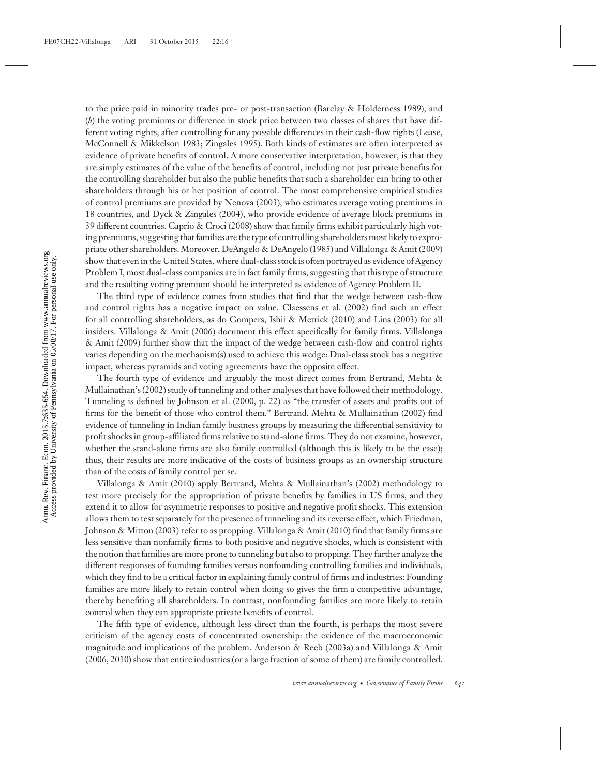to the price paid in minority trades pre- or post-transaction (Barclay & Holderness 1989), and (*b*) the voting premiums or difference in stock price between two classes of shares that have different voting rights, after controlling for any possible differences in their cash-flow rights (Lease, McConnell & Mikkelson 1983; Zingales 1995). Both kinds of estimates are often interpreted as evidence of private benefits of control. A more conservative interpretation, however, is that they are simply estimates of the value of the benefits of control, including not just private benefits for the controlling shareholder but also the public benefits that such a shareholder can bring to other shareholders through his or her position of control. The most comprehensive empirical studies of control premiums are provided by Nenova (2003), who estimates average voting premiums in 18 countries, and Dyck & Zingales (2004), who provide evidence of average block premiums in 39 different countries. Caprio & Croci (2008) show that family firms exhibit particularly high voting premiums, suggesting that families are the type of controlling shareholders most likely to expropriate other shareholders. Moreover, DeAngelo & DeAngelo (1985) and Villalonga & Amit (2009) show that even in the United States, where dual-class stock is often portrayed as evidence of Agency Problem I, most dual-class companies are in fact family firms, suggesting that this type of structure and the resulting voting premium should be interpreted as evidence of Agency Problem II.

The third type of evidence comes from studies that find that the wedge between cash-flow and control rights has a negative impact on value. Claessens et al. (2002) find such an effect for all controlling shareholders, as do Gompers, Ishii & Metrick (2010) and Lins (2003) for all insiders. Villalonga & Amit (2006) document this effect specifically for family firms. Villalonga & Amit (2009) further show that the impact of the wedge between cash-flow and control rights varies depending on the mechanism(s) used to achieve this wedge: Dual-class stock has a negative impact, whereas pyramids and voting agreements have the opposite effect.

The fourth type of evidence and arguably the most direct comes from Bertrand, Mehta & Mullainathan's (2002) study of tunneling and other analyses that have followed their methodology. Tunneling is defined by Johnson et al. (2000, p. 22) as "the transfer of assets and profits out of firms for the benefit of those who control them." Bertrand, Mehta & Mullainathan (2002) find evidence of tunneling in Indian family business groups by measuring the differential sensitivity to profit shocks in group-affiliated firms relative to stand-alone firms. They do not examine, however, whether the stand-alone firms are also family controlled (although this is likely to be the case); thus, their results are more indicative of the costs of business groups as an ownership structure than of the costs of family control per se.

Villalonga & Amit (2010) apply Bertrand, Mehta & Mullainathan's (2002) methodology to test more precisely for the appropriation of private benefits by families in US firms, and they extend it to allow for asymmetric responses to positive and negative profit shocks. This extension allows them to test separately for the presence of tunneling and its reverse effect, which Friedman, Johnson & Mitton (2003) refer to as propping. Villalonga & Amit (2010) find that family firms are less sensitive than nonfamily firms to both positive and negative shocks, which is consistent with the notion that families are more prone to tunneling but also to propping. They further analyze the different responses of founding families versus nonfounding controlling families and individuals, which they find to be a critical factor in explaining family control of firms and industries: Founding families are more likely to retain control when doing so gives the firm a competitive advantage, thereby benefiting all shareholders. In contrast, nonfounding families are more likely to retain control when they can appropriate private benefits of control.

The fifth type of evidence, although less direct than the fourth, is perhaps the most severe criticism of the agency costs of concentrated ownership: the evidence of the macroeconomic magnitude and implications of the problem. Anderson & Reeb (2003a) and Villalonga & Amit (2006, 2010) show that entire industries (or a large fraction of some of them) are family controlled.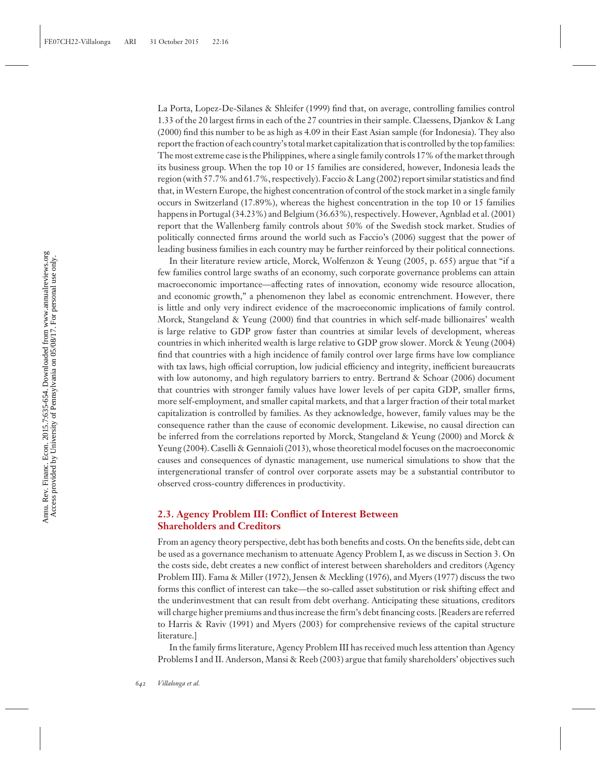La Porta, Lopez-De-Silanes & Shleifer (1999) find that, on average, controlling families control 1.33 of the 20 largest firms in each of the 27 countries in their sample. Claessens, Djankov & Lang (2000) find this number to be as high as 4.09 in their East Asian sample (for Indonesia). They also report the fraction of each country's total market capitalization that is controlled by the top families: The most extreme case is the Philippines, where a single family controls 17% of the market through its business group. When the top 10 or 15 families are considered, however, Indonesia leads the region (with 57.7% and 61.7%, respectively). Faccio & Lang (2002) report similar statistics and find that, inWestern Europe, the highest concentration of control of the stock market in a single family occurs in Switzerland (17.89%), whereas the highest concentration in the top 10 or 15 families happens in Portugal (34.23%) and Belgium (36.63%), respectively. However, Agnblad et al. (2001) report that the Wallenberg family controls about 50% of the Swedish stock market. Studies of politically connected firms around the world such as Faccio's (2006) suggest that the power of leading business families in each country may be further reinforced by their political connections.

In their literature review article, Morck, Wolfenzon & Yeung (2005, p. 655) argue that "if a few families control large swaths of an economy, such corporate governance problems can attain macroeconomic importance—affecting rates of innovation, economy wide resource allocation, and economic growth," a phenomenon they label as economic entrenchment. However, there is little and only very indirect evidence of the macroeconomic implications of family control. Morck, Stangeland & Yeung (2000) find that countries in which self-made billionaires' wealth is large relative to GDP grow faster than countries at similar levels of development, whereas countries in which inherited wealth is large relative to GDP grow slower. Morck & Yeung (2004) find that countries with a high incidence of family control over large firms have low compliance with tax laws, high official corruption, low judicial efficiency and integrity, inefficient bureaucrats with low autonomy, and high regulatory barriers to entry. Bertrand & Schoar (2006) document that countries with stronger family values have lower levels of per capita GDP, smaller firms, more self-employment, and smaller capital markets, and that a larger fraction of their total market capitalization is controlled by families. As they acknowledge, however, family values may be the consequence rather than the cause of economic development. Likewise, no causal direction can be inferred from the correlations reported by Morck, Stangeland & Yeung (2000) and Morck & Yeung (2004). Caselli & Gennaioli (2013), whose theoretical model focuses on the macroeconomic causes and consequences of dynastic management, use numerical simulations to show that the intergenerational transfer of control over corporate assets may be a substantial contributor to observed cross-country differences in productivity.

#### **2.3. Agency Problem III: Conflict of Interest Between Shareholders and Creditors**

From an agency theory perspective, debt has both benefits and costs. On the benefits side, debt can be used as a governance mechanism to attenuate Agency Problem I, as we discuss in Section 3. On the costs side, debt creates a new conflict of interest between shareholders and creditors (Agency Problem III). Fama & Miller (1972), Jensen & Meckling (1976), and Myers (1977) discuss the two forms this conflict of interest can take—the so-called asset substitution or risk shifting effect and the underinvestment that can result from debt overhang. Anticipating these situations, creditors will charge higher premiums and thus increase the firm's debt financing costs. [Readers are referred to Harris & Raviv (1991) and Myers (2003) for comprehensive reviews of the capital structure literature.]

In the family firms literature, Agency Problem III has received much less attention than Agency Problems I and II. Anderson, Mansi & Reeb (2003) argue that family shareholders' objectives such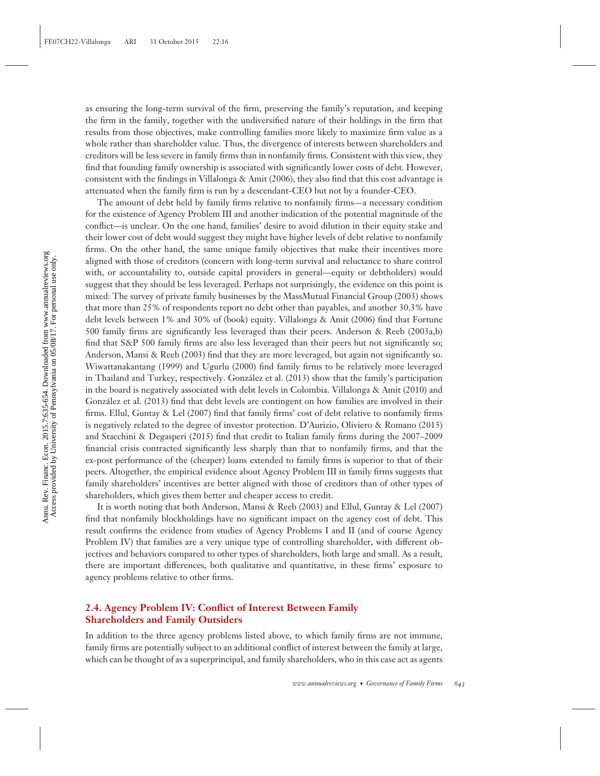as ensuring the long-term survival of the firm, preserving the family's reputation, and keeping the firm in the family, together with the undiversified nature of their holdings in the firm that results from those objectives, make controlling families more likely to maximize firm value as a whole rather than shareholder value. Thus, the divergence of interests between shareholders and creditors will be less severe in family firms than in nonfamily firms. Consistent with this view, they find that founding family ownership is associated with significantly lower costs of debt. However, consistent with the findings in Villalonga & Amit (2006), they also find that this cost advantage is attenuated when the family firm is run by a descendant-CEO but not by a founder-CEO.

The amount of debt held by family firms relative to nonfamily firms—a necessary condition for the existence of Agency Problem III and another indication of the potential magnitude of the conflict—is unclear. On the one hand, families' desire to avoid dilution in their equity stake and their lower cost of debt would suggest they might have higher levels of debt relative to nonfamily firms. On the other hand, the same unique family objectives that make their incentives more aligned with those of creditors (concern with long-term survival and reluctance to share control with, or accountability to, outside capital providers in general—equity or debtholders) would suggest that they should be less leveraged. Perhaps not surprisingly, the evidence on this point is mixed: The survey of private family businesses by the MassMutual Financial Group (2003) shows that more than 25% of respondents report no debt other than payables, and another 30.3% have debt levels between 1% and 30% of (book) equity. Villalonga & Amit (2006) find that Fortune 500 family firms are significantly less leveraged than their peers. Anderson & Reeb (2003a,b) find that S&P 500 family firms are also less leveraged than their peers but not significantly so; Anderson, Mansi & Reeb (2003) find that they are more leveraged, but again not significantly so. Wiwattanakantang (1999) and Ugurlu (2000) find family firms to be relatively more leveraged in Thailand and Turkey, respectively. Gonzalez et al. (2013) show that the family's participation ´ in the board is negatively associated with debt levels in Colombia. Villalonga & Amit (2010) and Gonzalez et al. (2013) find that debt levels are contingent on how families are involved in their ´ firms. Ellul, Guntay & Lel (2007) find that family firms' cost of debt relative to nonfamily firms is negatively related to the degree of investor protection. D'Aurizio, Oliviero & Romano (2015) and Stacchini & Degasperi (2015) find that credit to Italian family firms during the 2007–2009 financial crisis contracted significantly less sharply than that to nonfamily firms, and that the ex-post performance of the (cheaper) loans extended to family firms is superior to that of their peers. Altogether, the empirical evidence about Agency Problem III in family firms suggests that family shareholders' incentives are better aligned with those of creditors than of other types of shareholders, which gives them better and cheaper access to credit.

It is worth noting that both Anderson, Mansi & Reeb (2003) and Ellul, Guntay & Lel (2007) find that nonfamily blockholdings have no significant impact on the agency cost of debt. This result confirms the evidence from studies of Agency Problems I and II (and of course Agency Problem IV) that families are a very unique type of controlling shareholder, with different objectives and behaviors compared to other types of shareholders, both large and small. As a result, there are important differences, both qualitative and quantitative, in these firms' exposure to agency problems relative to other firms.

#### **2.4. Agency Problem IV: Conflict of Interest Between Family Shareholders and Family Outsiders**

In addition to the three agency problems listed above, to which family firms are not immune, family firms are potentially subject to an additional conflict of interest between the family at large, which can be thought of as a superprincipal, and family shareholders, who in this case act as agents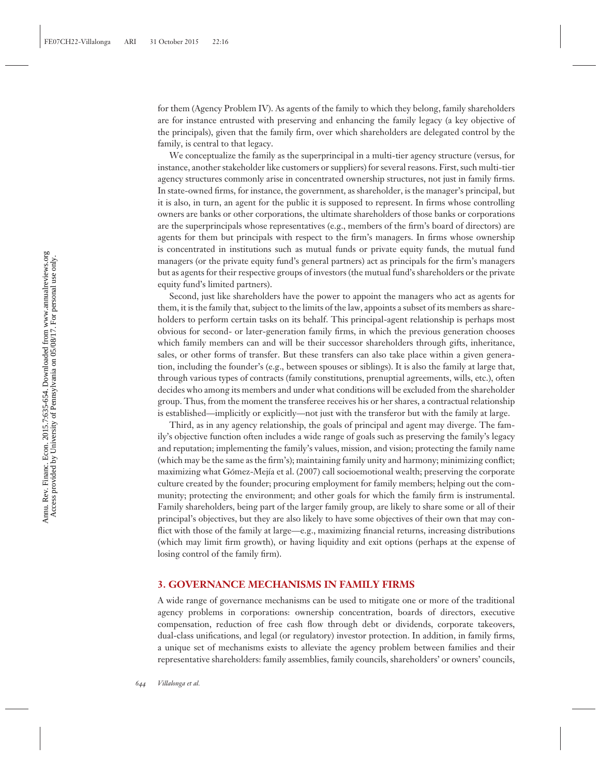for them (Agency Problem IV). As agents of the family to which they belong, family shareholders are for instance entrusted with preserving and enhancing the family legacy (a key objective of the principals), given that the family firm, over which shareholders are delegated control by the family, is central to that legacy.

We conceptualize the family as the superprincipal in a multi-tier agency structure (versus, for instance, another stakeholder like customers or suppliers) for several reasons. First, such multi-tier agency structures commonly arise in concentrated ownership structures, not just in family firms. In state-owned firms, for instance, the government, as shareholder, is the manager's principal, but it is also, in turn, an agent for the public it is supposed to represent. In firms whose controlling owners are banks or other corporations, the ultimate shareholders of those banks or corporations are the superprincipals whose representatives (e.g., members of the firm's board of directors) are agents for them but principals with respect to the firm's managers. In firms whose ownership is concentrated in institutions such as mutual funds or private equity funds, the mutual fund managers (or the private equity fund's general partners) act as principals for the firm's managers but as agents for their respective groups of investors (the mutual fund's shareholders or the private equity fund's limited partners).

Second, just like shareholders have the power to appoint the managers who act as agents for them, it is the family that, subject to the limits of the law, appoints a subset of its members as shareholders to perform certain tasks on its behalf. This principal-agent relationship is perhaps most obvious for second- or later-generation family firms, in which the previous generation chooses which family members can and will be their successor shareholders through gifts, inheritance, sales, or other forms of transfer. But these transfers can also take place within a given generation, including the founder's (e.g., between spouses or siblings). It is also the family at large that, through various types of contracts (family constitutions, prenuptial agreements, wills, etc.), often decides who among its members and under what conditions will be excluded from the shareholder group. Thus, from the moment the transferee receives his or her shares, a contractual relationship is established—implicitly or explicitly—not just with the transferor but with the family at large.

Third, as in any agency relationship, the goals of principal and agent may diverge. The family's objective function often includes a wide range of goals such as preserving the family's legacy and reputation; implementing the family's values, mission, and vision; protecting the family name (which may be the same as the firm's); maintaining family unity and harmony; minimizing conflict; maximizing what Gómez-Mejía et al. (2007) call socioemotional wealth; preserving the corporate culture created by the founder; procuring employment for family members; helping out the community; protecting the environment; and other goals for which the family firm is instrumental. Family shareholders, being part of the larger family group, are likely to share some or all of their principal's objectives, but they are also likely to have some objectives of their own that may conflict with those of the family at large—e.g., maximizing financial returns, increasing distributions (which may limit firm growth), or having liquidity and exit options (perhaps at the expense of losing control of the family firm).

#### **3. GOVERNANCE MECHANISMS IN FAMILY FIRMS**

A wide range of governance mechanisms can be used to mitigate one or more of the traditional agency problems in corporations: ownership concentration, boards of directors, executive compensation, reduction of free cash flow through debt or dividends, corporate takeovers, dual-class unifications, and legal (or regulatory) investor protection. In addition, in family firms, a unique set of mechanisms exists to alleviate the agency problem between families and their representative shareholders: family assemblies, family councils, shareholders' or owners' councils,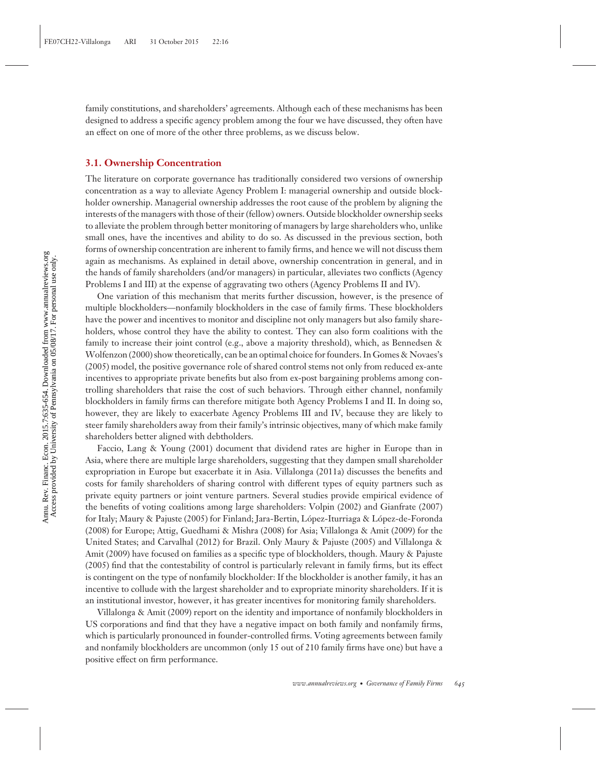family constitutions, and shareholders' agreements. Although each of these mechanisms has been designed to address a specific agency problem among the four we have discussed, they often have an effect on one of more of the other three problems, as we discuss below.

#### **3.1. Ownership Concentration**

The literature on corporate governance has traditionally considered two versions of ownership concentration as a way to alleviate Agency Problem I: managerial ownership and outside blockholder ownership. Managerial ownership addresses the root cause of the problem by aligning the interests of the managers with those of their (fellow) owners. Outside blockholder ownership seeks to alleviate the problem through better monitoring of managers by large shareholders who, unlike small ones, have the incentives and ability to do so. As discussed in the previous section, both forms of ownership concentration are inherent to family firms, and hence we will not discuss them again as mechanisms. As explained in detail above, ownership concentration in general, and in the hands of family shareholders (and/or managers) in particular, alleviates two conflicts (Agency Problems I and III) at the expense of aggravating two others (Agency Problems II and IV).

One variation of this mechanism that merits further discussion, however, is the presence of multiple blockholders—nonfamily blockholders in the case of family firms. These blockholders have the power and incentives to monitor and discipline not only managers but also family shareholders, whose control they have the ability to contest. They can also form coalitions with the family to increase their joint control (e.g., above a majority threshold), which, as Bennedsen & Wolfenzon (2000) show theoretically, can be an optimal choice for founders. In Gomes & Novaes's (2005) model, the positive governance role of shared control stems not only from reduced ex-ante incentives to appropriate private benefits but also from ex-post bargaining problems among controlling shareholders that raise the cost of such behaviors. Through either channel, nonfamily blockholders in family firms can therefore mitigate both Agency Problems I and II. In doing so, however, they are likely to exacerbate Agency Problems III and IV, because they are likely to steer family shareholders away from their family's intrinsic objectives, many of which make family shareholders better aligned with debtholders.

Faccio, Lang & Young (2001) document that dividend rates are higher in Europe than in Asia, where there are multiple large shareholders, suggesting that they dampen small shareholder expropriation in Europe but exacerbate it in Asia. Villalonga (2011a) discusses the benefits and costs for family shareholders of sharing control with different types of equity partners such as private equity partners or joint venture partners. Several studies provide empirical evidence of the benefits of voting coalitions among large shareholders: Volpin (2002) and Gianfrate (2007) for Italy; Maury & Pajuste (2005) for Finland; Jara-Bertin, López-Iturriaga & López-de-Foronda (2008) for Europe; Attig, Guedhami & Mishra (2008) for Asia; Villalonga & Amit (2009) for the United States; and Carvalhal (2012) for Brazil. Only Maury & Pajuste (2005) and Villalonga & Amit (2009) have focused on families as a specific type of blockholders, though. Maury & Pajuste (2005) find that the contestability of control is particularly relevant in family firms, but its effect is contingent on the type of nonfamily blockholder: If the blockholder is another family, it has an incentive to collude with the largest shareholder and to expropriate minority shareholders. If it is an institutional investor, however, it has greater incentives for monitoring family shareholders.

Villalonga & Amit (2009) report on the identity and importance of nonfamily blockholders in US corporations and find that they have a negative impact on both family and nonfamily firms, which is particularly pronounced in founder-controlled firms. Voting agreements between family and nonfamily blockholders are uncommon (only 15 out of 210 family firms have one) but have a positive effect on firm performance.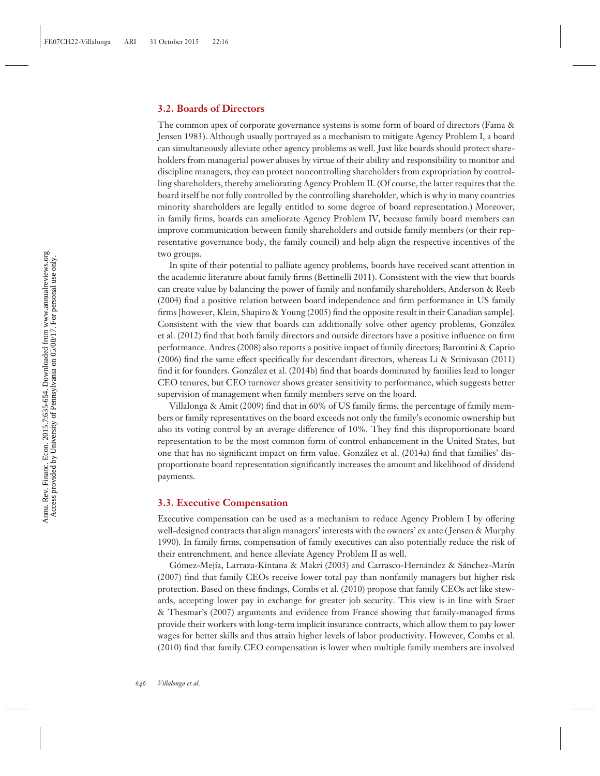#### **3.2. Boards of Directors**

The common apex of corporate governance systems is some form of board of directors (Fama & Jensen 1983). Although usually portrayed as a mechanism to mitigate Agency Problem I, a board can simultaneously alleviate other agency problems as well. Just like boards should protect shareholders from managerial power abuses by virtue of their ability and responsibility to monitor and discipline managers, they can protect noncontrolling shareholders from expropriation by controlling shareholders, thereby ameliorating Agency Problem II. (Of course, the latter requires that the board itself be not fully controlled by the controlling shareholder, which is why in many countries minority shareholders are legally entitled to some degree of board representation.) Moreover, in family firms, boards can ameliorate Agency Problem IV, because family board members can improve communication between family shareholders and outside family members (or their representative governance body, the family council) and help align the respective incentives of the two groups.

In spite of their potential to palliate agency problems, boards have received scant attention in the academic literature about family firms (Bettinelli 2011). Consistent with the view that boards can create value by balancing the power of family and nonfamily shareholders, Anderson & Reeb (2004) find a positive relation between board independence and firm performance in US family firms [however, Klein, Shapiro & Young (2005) find the opposite result in their Canadian sample]. Consistent with the view that boards can additionally solve other agency problems, González et al. (2012) find that both family directors and outside directors have a positive influence on firm performance. Andres (2008) also reports a positive impact of family directors; Barontini & Caprio (2006) find the same effect specifically for descendant directors, whereas Li & Srinivasan (2011) find it for founders. Gonzalez et al. (2014b) find that boards dominated by families lead to longer ´ CEO tenures, but CEO turnover shows greater sensitivity to performance, which suggests better supervision of management when family members serve on the board.

Villalonga & Amit (2009) find that in 60% of US family firms, the percentage of family members or family representatives on the board exceeds not only the family's economic ownership but also its voting control by an average difference of 10%. They find this disproportionate board representation to be the most common form of control enhancement in the United States, but one that has no significant impact on firm value. Gonzalez et al. (2014a) find that families' dis- ´ proportionate board representation significantly increases the amount and likelihood of dividend payments.

#### **3.3. Executive Compensation**

Executive compensation can be used as a mechanism to reduce Agency Problem I by offering well-designed contracts that align managers' interests with the owners' ex ante ( Jensen & Murphy 1990). In family firms, compensation of family executives can also potentially reduce the risk of their entrenchment, and hence alleviate Agency Problem II as well.

Gómez-Mejía, Larraza-Kintana & Makri (2003) and Carrasco-Hernández & Sánchez-Marín (2007) find that family CEOs receive lower total pay than nonfamily managers but higher risk protection. Based on these findings, Combs et al. (2010) propose that family CEOs act like stewards, accepting lower pay in exchange for greater job security. This view is in line with Sraer & Thesmar's (2007) arguments and evidence from France showing that family-managed firms provide their workers with long-term implicit insurance contracts, which allow them to pay lower wages for better skills and thus attain higher levels of labor productivity. However, Combs et al. (2010) find that family CEO compensation is lower when multiple family members are involved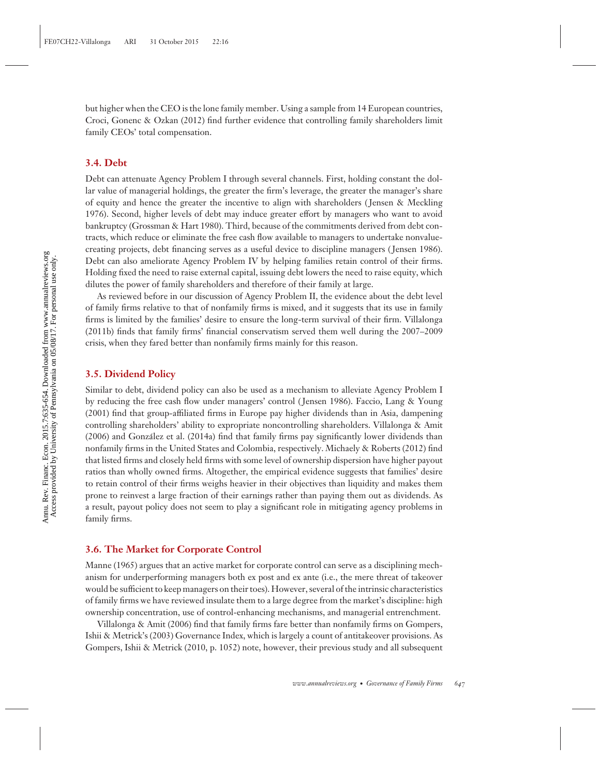but higher when the CEO is the lone family member. Using a sample from 14 European countries, Croci, Gonenc & Ozkan (2012) find further evidence that controlling family shareholders limit family CEOs' total compensation.

#### **3.4. Debt**

Debt can attenuate Agency Problem I through several channels. First, holding constant the dollar value of managerial holdings, the greater the firm's leverage, the greater the manager's share of equity and hence the greater the incentive to align with shareholders ( Jensen & Meckling 1976). Second, higher levels of debt may induce greater effort by managers who want to avoid bankruptcy (Grossman & Hart 1980). Third, because of the commitments derived from debt contracts, which reduce or eliminate the free cash flow available to managers to undertake nonvaluecreating projects, debt financing serves as a useful device to discipline managers ( Jensen 1986). Debt can also ameliorate Agency Problem IV by helping families retain control of their firms. Holding fixed the need to raise external capital, issuing debt lowers the need to raise equity, which dilutes the power of family shareholders and therefore of their family at large.

As reviewed before in our discussion of Agency Problem II, the evidence about the debt level of family firms relative to that of nonfamily firms is mixed, and it suggests that its use in family firms is limited by the families' desire to ensure the long-term survival of their firm. Villalonga (2011b) finds that family firms' financial conservatism served them well during the 2007–2009 crisis, when they fared better than nonfamily firms mainly for this reason.

#### **3.5. Dividend Policy**

Similar to debt, dividend policy can also be used as a mechanism to alleviate Agency Problem I by reducing the free cash flow under managers' control ( Jensen 1986). Faccio, Lang & Young (2001) find that group-affiliated firms in Europe pay higher dividends than in Asia, dampening controlling shareholders' ability to expropriate noncontrolling shareholders. Villalonga & Amit (2006) and Gonzalez et al. (2014a) find that family firms pay significantly lower dividends than ´ nonfamily firms in the United States and Colombia, respectively. Michaely & Roberts (2012) find that listed firms and closely held firms with some level of ownership dispersion have higher payout ratios than wholly owned firms. Altogether, the empirical evidence suggests that families' desire to retain control of their firms weighs heavier in their objectives than liquidity and makes them prone to reinvest a large fraction of their earnings rather than paying them out as dividends. As a result, payout policy does not seem to play a significant role in mitigating agency problems in family firms.

#### **3.6. The Market for Corporate Control**

Manne (1965) argues that an active market for corporate control can serve as a disciplining mechanism for underperforming managers both ex post and ex ante (i.e., the mere threat of takeover would be sufficient to keep managers on their toes). However, several of the intrinsic characteristics of family firms we have reviewed insulate them to a large degree from the market's discipline: high ownership concentration, use of control-enhancing mechanisms, and managerial entrenchment.

Villalonga & Amit (2006) find that family firms fare better than nonfamily firms on Gompers, Ishii & Metrick's (2003) Governance Index, which is largely a count of antitakeover provisions. As Gompers, Ishii & Metrick (2010, p. 1052) note, however, their previous study and all subsequent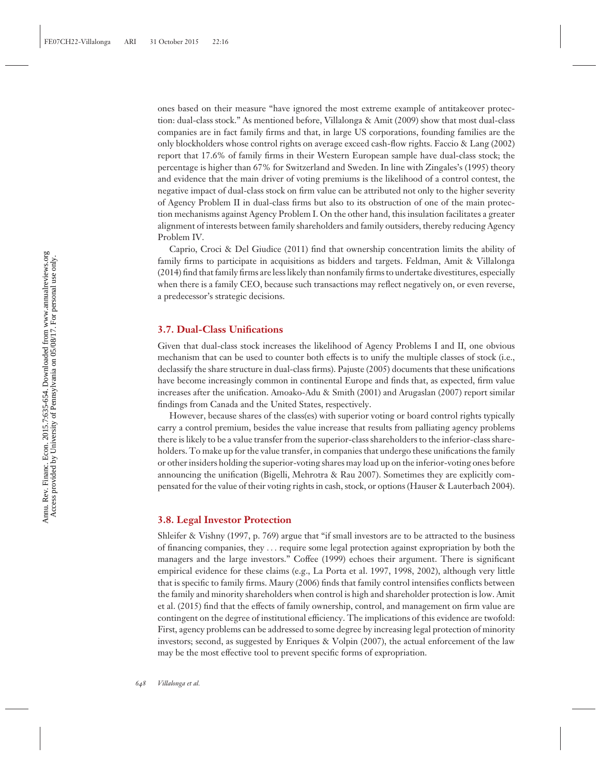ones based on their measure "have ignored the most extreme example of antitakeover protection: dual-class stock." As mentioned before, Villalonga & Amit (2009) show that most dual-class companies are in fact family firms and that, in large US corporations, founding families are the only blockholders whose control rights on average exceed cash-flow rights. Faccio & Lang (2002) report that 17.6% of family firms in their Western European sample have dual-class stock; the percentage is higher than 67% for Switzerland and Sweden. In line with Zingales's (1995) theory and evidence that the main driver of voting premiums is the likelihood of a control contest, the negative impact of dual-class stock on firm value can be attributed not only to the higher severity of Agency Problem II in dual-class firms but also to its obstruction of one of the main protection mechanisms against Agency Problem I. On the other hand, this insulation facilitates a greater alignment of interests between family shareholders and family outsiders, thereby reducing Agency Problem IV.

Caprio, Croci & Del Giudice (2011) find that ownership concentration limits the ability of family firms to participate in acquisitions as bidders and targets. Feldman, Amit & Villalonga (2014) find that family firms are less likely than nonfamily firms to undertake divestitures, especially when there is a family CEO, because such transactions may reflect negatively on, or even reverse, a predecessor's strategic decisions.

#### **3.7. Dual-Class Unifications**

Given that dual-class stock increases the likelihood of Agency Problems I and II, one obvious mechanism that can be used to counter both effects is to unify the multiple classes of stock (i.e., declassify the share structure in dual-class firms). Pajuste (2005) documents that these unifications have become increasingly common in continental Europe and finds that, as expected, firm value increases after the unification. Amoako-Adu & Smith (2001) and Arugaslan (2007) report similar findings from Canada and the United States, respectively.

However, because shares of the class(es) with superior voting or board control rights typically carry a control premium, besides the value increase that results from palliating agency problems there is likely to be a value transfer from the superior-class shareholders to the inferior-class shareholders. To make up for the value transfer, in companies that undergo these unifications the family or other insiders holding the superior-voting shares may load up on the inferior-voting ones before announcing the unification (Bigelli, Mehrotra & Rau 2007). Sometimes they are explicitly compensated for the value of their voting rights in cash, stock, or options (Hauser & Lauterbach 2004).

#### **3.8. Legal Investor Protection**

Shleifer & Vishny (1997, p. 769) argue that "if small investors are to be attracted to the business of financing companies, they *...* require some legal protection against expropriation by both the managers and the large investors." Coffee (1999) echoes their argument. There is significant empirical evidence for these claims (e.g., La Porta et al. 1997, 1998, 2002), although very little that is specific to family firms. Maury (2006) finds that family control intensifies conflicts between the family and minority shareholders when control is high and shareholder protection is low. Amit et al. (2015) find that the effects of family ownership, control, and management on firm value are contingent on the degree of institutional efficiency. The implications of this evidence are twofold: First, agency problems can be addressed to some degree by increasing legal protection of minority investors; second, as suggested by Enriques & Volpin (2007), the actual enforcement of the law may be the most effective tool to prevent specific forms of expropriation.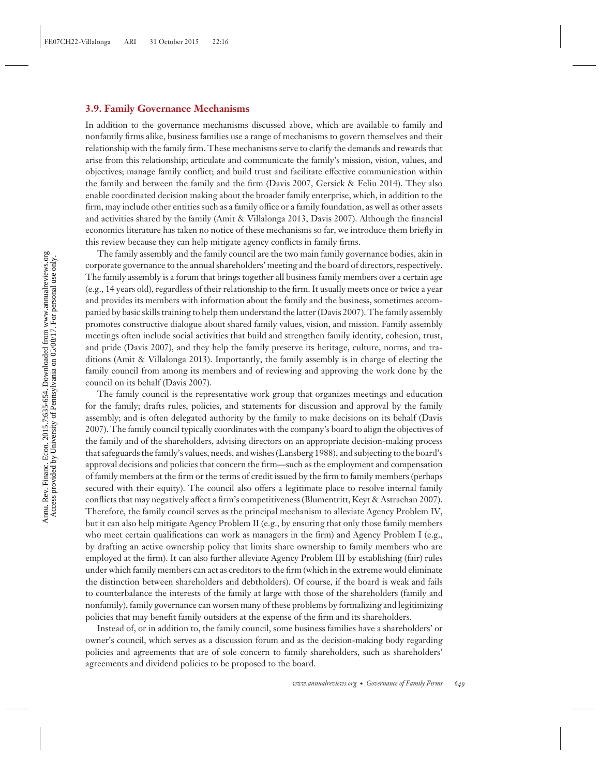#### **3.9. Family Governance Mechanisms**

In addition to the governance mechanisms discussed above, which are available to family and nonfamily firms alike, business families use a range of mechanisms to govern themselves and their relationship with the family firm. These mechanisms serve to clarify the demands and rewards that arise from this relationship; articulate and communicate the family's mission, vision, values, and objectives; manage family conflict; and build trust and facilitate effective communication within the family and between the family and the firm (Davis 2007, Gersick & Feliu 2014). They also enable coordinated decision making about the broader family enterprise, which, in addition to the firm, may include other entities such as a family office or a family foundation, as well as other assets and activities shared by the family (Amit & Villalonga 2013, Davis 2007). Although the financial economics literature has taken no notice of these mechanisms so far, we introduce them briefly in this review because they can help mitigate agency conflicts in family firms.

The family assembly and the family council are the two main family governance bodies, akin in corporate governance to the annual shareholders' meeting and the board of directors, respectively. The family assembly is a forum that brings together all business family members over a certain age (e.g., 14 years old), regardless of their relationship to the firm. It usually meets once or twice a year and provides its members with information about the family and the business, sometimes accompanied by basic skills training to help them understand the latter (Davis 2007). The family assembly promotes constructive dialogue about shared family values, vision, and mission. Family assembly meetings often include social activities that build and strengthen family identity, cohesion, trust, and pride (Davis 2007), and they help the family preserve its heritage, culture, norms, and traditions (Amit & Villalonga 2013). Importantly, the family assembly is in charge of electing the family council from among its members and of reviewing and approving the work done by the council on its behalf (Davis 2007).

The family council is the representative work group that organizes meetings and education for the family; drafts rules, policies, and statements for discussion and approval by the family assembly; and is often delegated authority by the family to make decisions on its behalf (Davis 2007). The family council typically coordinates with the company's board to align the objectives of the family and of the shareholders, advising directors on an appropriate decision-making process that safeguards the family's values, needs, and wishes (Lansberg 1988), and subjecting to the board's approval decisions and policies that concern the firm—such as the employment and compensation of family members at the firm or the terms of credit issued by the firm to family members (perhaps secured with their equity). The council also offers a legitimate place to resolve internal family conflicts that may negatively affect a firm's competitiveness (Blumentritt, Keyt & Astrachan 2007). Therefore, the family council serves as the principal mechanism to alleviate Agency Problem IV, but it can also help mitigate Agency Problem II (e.g., by ensuring that only those family members who meet certain qualifications can work as managers in the firm) and Agency Problem I (e.g., by drafting an active ownership policy that limits share ownership to family members who are employed at the firm). It can also further alleviate Agency Problem III by establishing (fair) rules under which family members can act as creditors to the firm (which in the extreme would eliminate the distinction between shareholders and debtholders). Of course, if the board is weak and fails to counterbalance the interests of the family at large with those of the shareholders (family and nonfamily), family governance can worsen many of these problems by formalizing and legitimizing policies that may benefit family outsiders at the expense of the firm and its shareholders.

Instead of, or in addition to, the family council, some business families have a shareholders' or owner's council, which serves as a discussion forum and as the decision-making body regarding policies and agreements that are of sole concern to family shareholders, such as shareholders' agreements and dividend policies to be proposed to the board.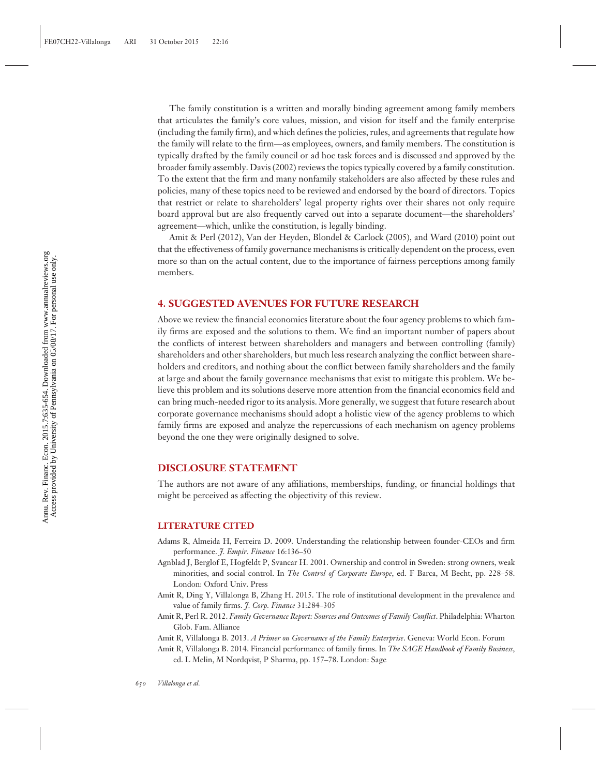The family constitution is a written and morally binding agreement among family members that articulates the family's core values, mission, and vision for itself and the family enterprise (including the family firm), and which defines the policies, rules, and agreements that regulate how the family will relate to the firm—as employees, owners, and family members. The constitution is typically drafted by the family council or ad hoc task forces and is discussed and approved by the broader family assembly. Davis (2002) reviews the topics typically covered by a family constitution. To the extent that the firm and many nonfamily stakeholders are also affected by these rules and policies, many of these topics need to be reviewed and endorsed by the board of directors. Topics that restrict or relate to shareholders' legal property rights over their shares not only require board approval but are also frequently carved out into a separate document—the shareholders' agreement—which, unlike the constitution, is legally binding.

Amit & Perl (2012), Van der Heyden, Blondel & Carlock (2005), and Ward (2010) point out that the effectiveness of family governance mechanisms is critically dependent on the process, even more so than on the actual content, due to the importance of fairness perceptions among family members.

#### **4. SUGGESTED AVENUES FOR FUTURE RESEARCH**

Above we review the financial economics literature about the four agency problems to which family firms are exposed and the solutions to them. We find an important number of papers about the conflicts of interest between shareholders and managers and between controlling (family) shareholders and other shareholders, but much less research analyzing the conflict between shareholders and creditors, and nothing about the conflict between family shareholders and the family at large and about the family governance mechanisms that exist to mitigate this problem. We believe this problem and its solutions deserve more attention from the financial economics field and can bring much-needed rigor to its analysis. More generally, we suggest that future research about corporate governance mechanisms should adopt a holistic view of the agency problems to which family firms are exposed and analyze the repercussions of each mechanism on agency problems beyond the one they were originally designed to solve.

#### **DISCLOSURE STATEMENT**

The authors are not aware of any affiliations, memberships, funding, or financial holdings that might be perceived as affecting the objectivity of this review.

#### **LITERATURE CITED**

- Adams R, Almeida H, Ferreira D. 2009. Understanding the relationship between founder-CEOs and firm performance. *J. Empir. Finance* 16:136–50
- Agnblad J, Berglof E, Hogfeldt P, Svancar H. 2001. Ownership and control in Sweden: strong owners, weak minorities, and social control. In *The Control of Corporate Europe*, ed. F Barca, M Becht, pp. 228–58. London: Oxford Univ. Press
- Amit R, Ding Y, Villalonga B, Zhang H. 2015. The role of institutional development in the prevalence and value of family firms. *J. Corp. Finance* 31:284–305
- Amit R, Perl R. 2012. *Family Governance Report: Sources and Outcomes of Family Conflict*. Philadelphia: Wharton Glob. Fam. Alliance

Amit R, Villalonga B. 2013. *A Primer on Governance of the Family Enterprise*. Geneva: World Econ. Forum

Amit R, Villalonga B. 2014. Financial performance of family firms. In *The SAGE Handbook of Family Business*, ed. L Melin, M Nordqvist, P Sharma, pp. 157–78. London: Sage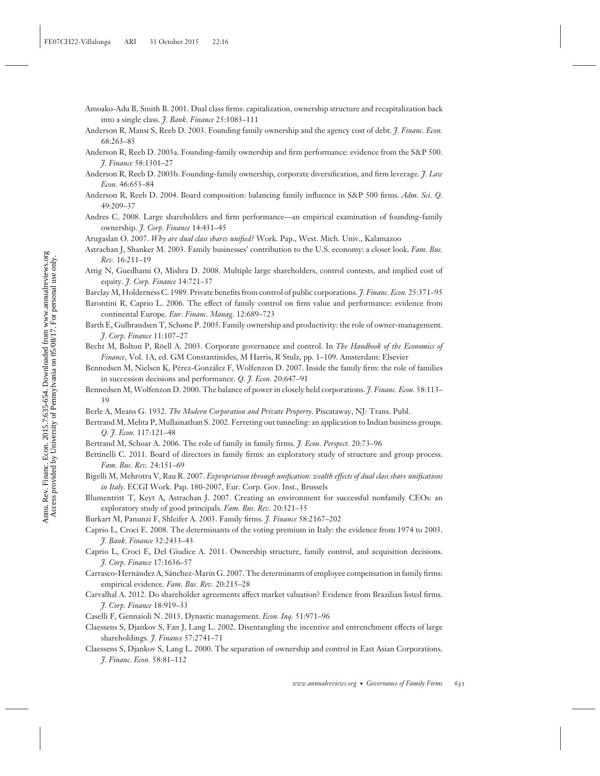- Amoako-Adu B, Smith B. 2001. Dual class firms: capitalization, ownership structure and recapitalization back into a single class. *J. Bank. Finance* 25:1083–111
- Anderson R, Mansi S, Reeb D. 2003. Founding family ownership and the agency cost of debt. *J. Financ. Econ.* 68:263–85
- Anderson R, Reeb D. 2003a. Founding-family ownership and firm performance: evidence from the S&P 500. *J. Finance* 58:1301–27
- Anderson R, Reeb D. 2003b. Founding-family ownership, corporate diversification, and firm leverage. *J. Law Econ.* 46:653–84
- Anderson R, Reeb D. 2004. Board composition: balancing family influence in S&P 500 firms. *Adm. Sci. Q.* 49:209–37
- Andres C. 2008. Large shareholders and firm performance—an empirical examination of founding-family ownership. *J. Corp. Finance* 14:431–45
- Arugaslan O. 2007. *Why are dual class shares unified?* Work. Pap., West. Mich. Univ., Kalamazoo
- Astrachan J, Shanker M. 2003. Family businesses' contribution to the U.S. economy: a closer look. *Fam. Bus. Rev.* 16:211–19
- Attig N, Guedhami O, Mishra D. 2008. Multiple large shareholders, control contests, and implied cost of equity. *J. Corp. Finance* 14:721–37

Barclay M, Holderness C. 1989. Private benefits from control of public corporations. *J. Financ. Econ.* 25:371–95

- Barontini R, Caprio L. 2006. The effect of family control on firm value and performance: evidence from continental Europe. *Eur. Financ. Manag.* 12:689–723
- Barth E, Gulbrandsen T, Schøne P. 2005. Family ownership and productivity: the role of owner-management. *J. Corp. Finance* 11:107–27
- Becht M, Bolton P, Röell A. 2003. Corporate governance and control. In *The Handbook of the Economics of Finance*, Vol. 1A, ed. GM Constantinides, M Harris, R Stulz, pp. 1–109. Amsterdam: Elsevier
- Bennedsen M, Nielsen K, Pérez-González F, Wolfenzon D. 2007. Inside the family firm: the role of families in succession decisions and performance. *Q. J. Econ.* 20:647–91
- Bennedsen M, Wolfenzon D. 2000. The balance of power in closely held corporations. *J. Financ. Econ.* 58:113– 39
- Berle A, Means G. 1932. *The Modern Corporation and Private Property*. Piscataway, NJ: Trans. Publ.
- Bertrand M, Mehta P, Mullainathan S. 2002. Ferreting out tunneling: an application to Indian business groups. *Q. J. Econ.* 117:121–48
- Bertrand M, Schoar A. 2006. The role of family in family firms. *J. Econ. Perspect.* 20:73–96
- Bettinelli C. 2011. Board of directors in family firms: an exploratory study of structure and group process. *Fam. Bus. Rev.* 24:151–69
- Bigelli M, Mehrotra V, Rau R. 2007. *Expropriation through unification: wealth effects of dual class share unifications in Italy.* ECGI Work. Pap. 180-2007, Eur. Corp. Gov. Inst., Brussels
- Blumentritt T, Keyt A, Astrachan J. 2007. Creating an environment for successful nonfamily CEOs: an exploratory study of good principals. *Fam. Bus. Rev.* 20:321–35
- Burkart M, Panunzi F, Shleifer A. 2003. Family firms. *J. Finance* 58:2167–202
- Caprio L, Croci E. 2008. The determinants of the voting premium in Italy: the evidence from 1974 to 2003. *J. Bank. Finance* 32:2433–43
- Caprio L, Croci E, Del Giudice A. 2011. Ownership structure, family control, and acquisition decisions. *J. Corp. Finance* 17:1636–57
- Carrasco-Hernández A, Sánchez-Marín G. 2007. The determinants of employee compensation in family firms: empirical evidence. *Fam. Bus. Rev.* 20:215–28
- Carvalhal A. 2012. Do shareholder agreements affect market valuation? Evidence from Brazilian listed firms. *J. Corp. Finance* 18:919–33
- Caselli F, Gennaioli N. 2013. Dynastic management. *Econ. Inq.* 51:971–96
- Claessens S, Djankov S, Fan J, Lang L. 2002. Disentangling the incentive and entrenchment effects of large shareholdings. *J. Finance* 57:2741–71
- Claessens S, Djankov S, Lang L. 2000. The separation of ownership and control in East Asian Corporations. *J. Financ. Econ.* 58:81–112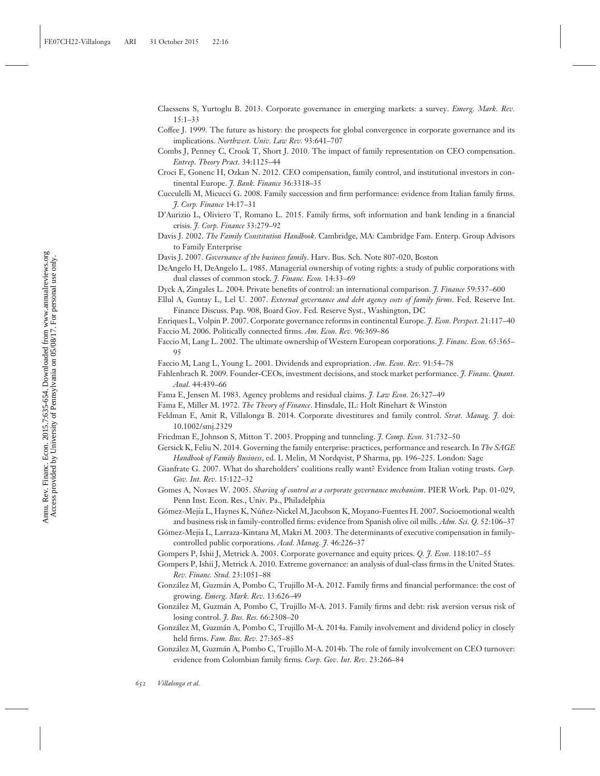- Claessens S, Yurtoglu B. 2013. Corporate governance in emerging markets: a survey. *Emerg. Mark. Rev.* 15:1–33
- Coffee J. 1999. The future as history: the prospects for global convergence in corporate governance and its implications. *Northwest. Univ. Law Rev.* 93:641–707
- Combs J, Penney C, Crook T, Short J. 2010. The impact of family representation on CEO compensation. *Entrep. Theory Pract.* 34:1125–44
- Croci E, Gonenc H, Ozkan N. 2012. CEO compensation, family control, and institutional investors in continental Europe. *J. Bank. Finance* 36:3318–35
- Cucculelli M, Micucci G. 2008. Family succession and firm performance: evidence from Italian family firms. *J. Corp. Finance* 14:17–31
- D'Aurizio L, Oliviero T, Romano L. 2015. Family firms, soft information and bank lending in a financial crisis. *J. Corp. Finance* 33:279–92
- Davis J. 2002. *The Family Constitution Handbook*. Cambridge, MA: Cambridge Fam. Enterp. Group Advisors to Family Enterprise
- Davis J. 2007. *Governance of the business family*. Harv. Bus. Sch. Note 807-020, Boston
- DeAngelo H, DeAngelo L. 1985. Managerial ownership of voting rights: a study of public corporations with dual classes of common stock. *J. Financ. Econ.* 14:33–69
- Dyck A, Zingales L. 2004. Private benefits of control: an international comparison. *J. Finance* 59:537–600
- Ellul A, Guntay L, Lel U. 2007. *External governance and debt agency costs of family firms*. Fed. Reserve Int. Finance Discuss. Pap. 908, Board Gov. Fed. Reserve Syst., Washington, DC
- Enriques L, Volpin P. 2007. Corporate governance reforms in continental Europe. *J. Econ. Perspect.* 21:117–40 Faccio M. 2006. Politically connected firms. *Am. Econ. Rev.* 96:369–86
- Faccio M, Lang L. 2002. The ultimate ownership of Western European corporations. *J. Financ. Econ.* 65:365– 95
- Faccio M, Lang L, Young L. 2001. Dividends and expropriation. *Am. Econ. Rev.* 91:54–78
- Fahlenbrach R. 2009. Founder-CEOs, investment decisions, and stock market performance. *J. Financ. Quant. Anal.* 44:439–66
- Fama E, Jensen M. 1983. Agency problems and residual claims. *J. Law Econ.* 26:327–49
- Fama E, Miller M. 1972. *The Theory of Finance*. Hinsdale, IL: Holt Rinehart & Winston
- Feldman E, Amit R, Villalonga B. 2014. Corporate divestitures and family control. *Strat. Manag. J.* doi: 10.1002/smj.2329
- Friedman E, Johnson S, Mitton T. 2003. Propping and tunneling. *J. Comp. Econ.* 31:732–50
- Gersick K, Feliu N. 2014. Governing the family enterprise: practices, performance and research. In *The SAGE Handbook of Family Business*, ed. L Melin, M Nordqvist, P Sharma, pp. 196–225. London: Sage
- Gianfrate G. 2007. What do shareholders' coalitions really want? Evidence from Italian voting trusts. *Corp. Gov. Int. Rev.* 15:122–32
- Gomes A, Novaes W. 2005. *Sharing of control as a corporate governance mechanism*. PIER Work. Pap. 01-029, Penn Inst. Econ. Res., Univ. Pa., Philadelphia
- Gómez-Mejía L, Haynes K, Núñez-Nickel M, Jacobson K, Moyano-Fuentes H. 2007. Socioemotional wealth and business risk in family-controlled firms: evidence from Spanish olive oil mills. *Adm. Sci. Q.* 52:106–37
- Gómez-Mejía L, Larraza-Kintana M, Makri M. 2003. The determinants of executive compensation in familycontrolled public corporations. *Acad. Manag. J.* 46:226–37
- Gompers P, Ishii J, Metrick A. 2003. Corporate governance and equity prices. *Q. J. Econ.* 118:107–55
- Gompers P, Ishii J, Metrick A. 2010. Extreme governance: an analysis of dual-class firms in the United States. *Rev. Financ. Stud.* 23:1051–88
- González M, Guzmán A, Pombo C, Trujillo M-A. 2012. Family firms and financial performance: the cost of growing. *Emerg. Mark. Rev.* 13:626–49
- González M, Guzmán A, Pombo C, Trujillo M-A. 2013. Family firms and debt: risk aversion versus risk of losing control. *J. Bus. Res.* 66:2308–20
- González M, Guzmán A, Pombo C, Trujillo M-A. 2014a. Family involvement and dividend policy in closely held firms. *Fam. Bus. Rev.* 27:365–85
- González M, Guzmán A, Pombo C, Trujillo M-A. 2014b. The role of family involvement on CEO turnover: evidence from Colombian family firms. *Corp. Gov. Int. Rev.* 23:266–84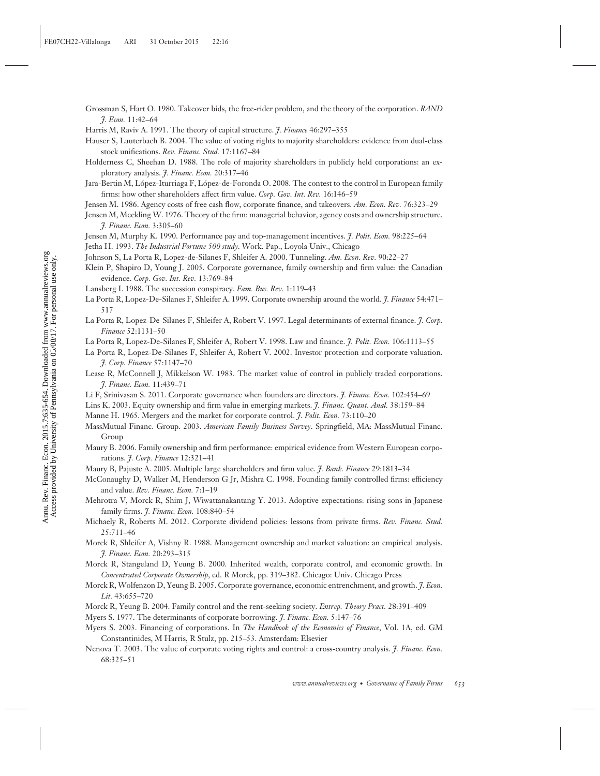- Grossman S, Hart O. 1980. Takeover bids, the free-rider problem, and the theory of the corporation. *RAND J. Econ.* 11:42–64
- Harris M, Raviv A. 1991. The theory of capital structure. *J. Finance* 46:297–355
- Hauser S, Lauterbach B. 2004. The value of voting rights to majority shareholders: evidence from dual-class stock unifications. *Rev. Financ. Stud.* 17:1167–84
- Holderness C, Sheehan D. 1988. The role of majority shareholders in publicly held corporations: an exploratory analysis. *J. Financ. Econ.* 20:317–46
- Jara-Bertin M, López-Iturriaga F, López-de-Foronda O. 2008. The contest to the control in European family firms: how other shareholders affect firm value. *Corp. Gov. Int. Rev.* 16:146–59
- Jensen M. 1986. Agency costs of free cash flow, corporate finance, and takeovers. *Am. Econ. Rev.* 76:323–29
- Jensen M, Meckling W. 1976. Theory of the firm: managerial behavior, agency costs and ownership structure. *J. Financ. Econ.* 3:305–60
- Jensen M, Murphy K. 1990. Performance pay and top-management incentives. *J. Polit. Econ.* 98:225–64
- Jetha H. 1993. *The Industrial Fortune 500 study*. Work. Pap., Loyola Univ., Chicago
- Johnson S, La Porta R, Lopez-de-Silanes F, Shleifer A. 2000. Tunneling. *Am. Econ. Rev.* 90:22–27
- Klein P, Shapiro D, Young J. 2005. Corporate governance, family ownership and firm value: the Canadian evidence. *Corp. Gov. Int. Rev.* 13:769–84
- Lansberg I. 1988. The succession conspiracy. *Fam. Bus. Rev.* 1:119–43
- La Porta R, Lopez-De-Silanes F, Shleifer A. 1999. Corporate ownership around the world. *J. Finance* 54:471– 517
- La Porta R, Lopez-De-Silanes F, Shleifer A, Robert V. 1997. Legal determinants of external finance. *J. Corp. Finance* 52:1131–50
- La Porta R, Lopez-De-Silanes F, Shleifer A, Robert V. 1998. Law and finance. *J. Polit. Econ.* 106:1113–55
- La Porta R, Lopez-De-Silanes F, Shleifer A, Robert V. 2002. Investor protection and corporate valuation. *J. Corp. Finance* 57:1147–70
- Lease R, McConnell J, Mikkelson W. 1983. The market value of control in publicly traded corporations. *J. Financ. Econ.* 11:439–71
- Li F, Srinivasan S. 2011. Corporate governance when founders are directors. *J. Financ. Econ.* 102:454–69
- Lins K. 2003. Equity ownership and firm value in emerging markets. *J. Financ. Quant. Anal.* 38:159–84
- Manne H. 1965. Mergers and the market for corporate control. *J. Polit. Econ.* 73:110–20
- MassMutual Financ. Group. 2003. *American Family Business Survey*. Springfield, MA: MassMutual Financ. Group
- Maury B. 2006. Family ownership and firm performance: empirical evidence from Western European corporations. *J. Corp. Finance* 12:321–41
- Maury B, Pajuste A. 2005. Multiple large shareholders and firm value. *J. Bank. Finance* 29:1813–34
- McConaughy D, Walker M, Henderson G Jr, Mishra C. 1998. Founding family controlled firms: efficiency and value. *Rev. Financ. Econ.* 7:1–19
- Mehrotra V, Morck R, Shim J, Wiwattanakantang Y. 2013. Adoptive expectations: rising sons in Japanese family firms. *J. Financ. Econ.* 108:840–54
- Michaely R, Roberts M. 2012. Corporate dividend policies: lessons from private firms. *Rev. Financ. Stud.* 25:711–46
- Morck R, Shleifer A, Vishny R. 1988. Management ownership and market valuation: an empirical analysis. *J. Financ. Econ.* 20:293–315
- Morck R, Stangeland D, Yeung B. 2000. Inherited wealth, corporate control, and economic growth. In *Concentrated Corporate Ownership*, ed. R Morck, pp. 319–382. Chicago: Univ. Chicago Press
- Morck R, Wolfenzon D, Yeung B. 2005. Corporate governance, economic entrenchment, and growth. *J. Econ. Lit.* 43:655–720
- Morck R, Yeung B. 2004. Family control and the rent-seeking society. *Entrep. Theory Pract.* 28:391–409
- Myers S. 1977. The determinants of corporate borrowing. *J. Financ. Econ.* 5:147–76
- Myers S. 2003. Financing of corporations. In *The Handbook of the Economics of Finance*, Vol. 1A, ed. GM Constantinides, M Harris, R Stulz, pp. 215–53. Amsterdam: Elsevier
- Nenova T. 2003. The value of corporate voting rights and control: a cross-country analysis. *J. Financ. Econ.* 68:325–51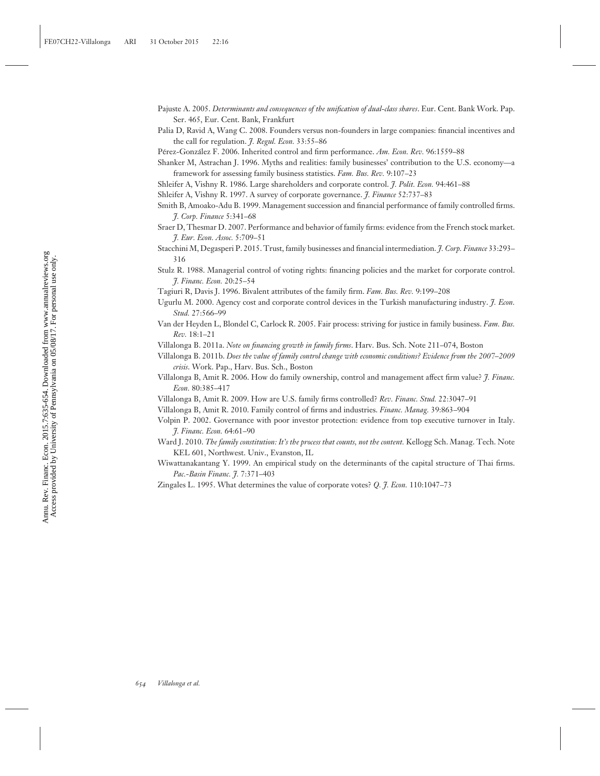- Pajuste A. 2005. *Determinants and consequences of the unification of dual-class shares*. Eur. Cent. Bank Work. Pap. Ser. 465, Eur. Cent. Bank, Frankfurt
- Palia D, Ravid A, Wang C. 2008. Founders versus non-founders in large companies: financial incentives and the call for regulation. *J. Regul. Econ.* 33:55–86

Pérez-González F. 2006. Inherited control and firm performance. Am. Econ. Rev. 96:1559–88

Shanker M, Astrachan J. 1996. Myths and realities: family businesses' contribution to the U.S. economy—a framework for assessing family business statistics. *Fam. Bus. Rev.* 9:107–23

- Shleifer A, Vishny R. 1986. Large shareholders and corporate control. *J. Polit. Econ.* 94:461–88
- Shleifer A, Vishny R. 1997. A survey of corporate governance. *J. Finance* 52:737–83
- Smith B, Amoako-Adu B. 1999. Management succession and financial performance of family controlled firms. *J. Corp. Finance* 5:341–68
- Sraer D, Thesmar D. 2007. Performance and behavior of family firms: evidence from the French stock market. *J. Eur. Econ. Assoc.* 5:709–51
- Stacchini M, Degasperi P. 2015. Trust, family businesses and financial intermediation. *J. Corp. Finance* 33:293– 316
- Stulz R. 1988. Managerial control of voting rights: financing policies and the market for corporate control. *J. Financ. Econ.* 20:25–54
- Tagiuri R, Davis J. 1996. Bivalent attributes of the family firm. *Fam. Bus. Rev.* 9:199–208
- Ugurlu M. 2000. Agency cost and corporate control devices in the Turkish manufacturing industry. *J. Econ. Stud.* 27:566–99
- Van der Heyden L, Blondel C, Carlock R. 2005. Fair process: striving for justice in family business. *Fam. Bus. Rev.* 18:1–21
- Villalonga B. 2011a. *Note on financing growth in family firms*. Harv. Bus. Sch. Note 211–074, Boston
- Villalonga B. 2011b. *Does the value of family control change with economic conditions? Evidence from the 2007–2009 crisis*. Work. Pap., Harv. Bus. Sch., Boston
- Villalonga B, Amit R. 2006. How do family ownership, control and management affect firm value? *J. Financ. Econ.* 80:385–417
- Villalonga B, Amit R. 2009. How are U.S. family firms controlled? *Rev. Financ. Stud.* 22:3047–91
- Villalonga B, Amit R. 2010. Family control of firms and industries. *Financ. Manag.* 39:863–904
- Volpin P. 2002. Governance with poor investor protection: evidence from top executive turnover in Italy. *J. Financ. Econ.* 64:61–90
- Ward J. 2010. *The family constitution: It's the process that counts, not the content.* Kellogg Sch. Manag. Tech. Note KEL 601, Northwest. Univ., Evanston, IL
- Wiwattanakantang Y. 1999. An empirical study on the determinants of the capital structure of Thai firms. *Pac.-Basin Financ. J.* 7:371–403
- Zingales L. 1995. What determines the value of corporate votes? *Q. J. Econ.* 110:1047–73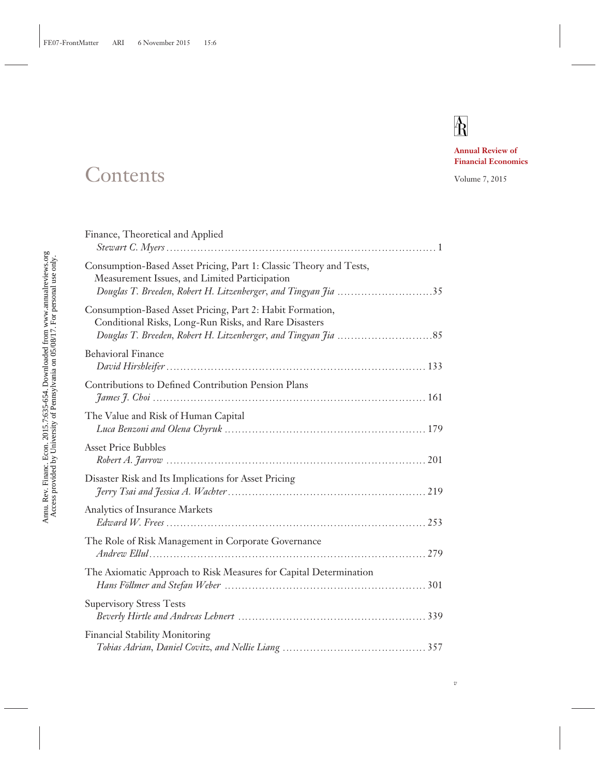# $\mathbb{A}$

**Annual Review of Financial Economics**

### Contents Volume 7, 2015

| Finance, Theoretical and Applied                                                                                                                                                      |  |
|---------------------------------------------------------------------------------------------------------------------------------------------------------------------------------------|--|
| Consumption-Based Asset Pricing, Part 1: Classic Theory and Tests,<br>Measurement Issues, and Limited Participation<br>Douglas T. Breeden, Robert H. Litzenberger, and Tingyan Jia 35 |  |
| Consumption-Based Asset Pricing, Part 2: Habit Formation,<br>Conditional Risks, Long-Run Risks, and Rare Disasters                                                                    |  |
| <b>Behavioral Finance</b>                                                                                                                                                             |  |
| Contributions to Defined Contribution Pension Plans                                                                                                                                   |  |
| The Value and Risk of Human Capital                                                                                                                                                   |  |
| <b>Asset Price Bubbles</b><br>Robert A. 7arrow 201                                                                                                                                    |  |
| Disaster Risk and Its Implications for Asset Pricing                                                                                                                                  |  |
| Analytics of Insurance Markets                                                                                                                                                        |  |
| The Role of Risk Management in Corporate Governance                                                                                                                                   |  |
| The Axiomatic Approach to Risk Measures for Capital Determination                                                                                                                     |  |
| <b>Supervisory Stress Tests</b>                                                                                                                                                       |  |
| <b>Financial Stability Monitoring</b>                                                                                                                                                 |  |